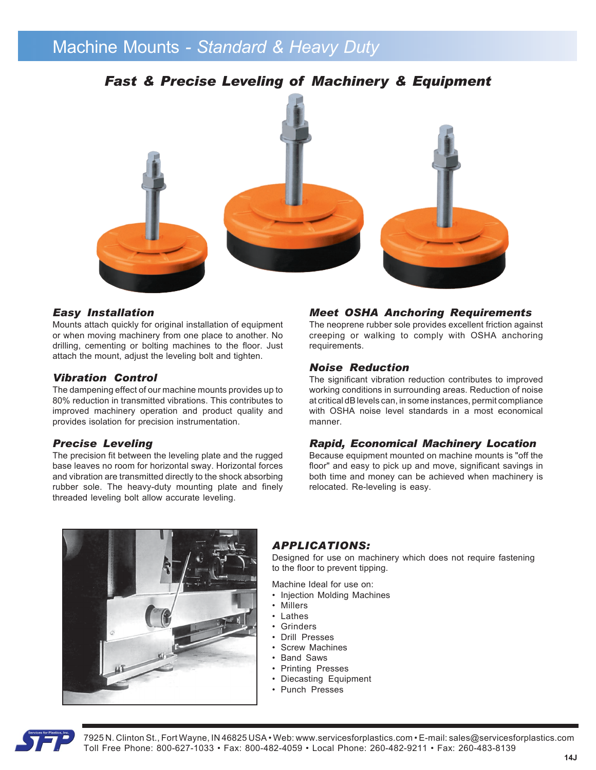# Machine Mounts *- Standard & Heavy Duty*

## *Fast & Precise Leveling of Machinery & Equipment*



#### *Easy Installation*

Mounts attach quickly for original installation of equipment or when moving machinery from one place to another. No drilling, cementing or bolting machines to the floor. Just attach the mount, adjust the leveling bolt and tighten.

#### *Vibration Control*

The dampening effect of our machine mounts provides up to 80% reduction in transmitted vibrations. This contributes to improved machinery operation and product quality and provides isolation for precision instrumentation.

### *Precise Leveling*

The precision fit between the leveling plate and the rugged base leaves no room for horizontal sway. Horizontal forces and vibration are transmitted directly to the shock absorbing rubber sole. The heavy-duty mounting plate and finely threaded leveling bolt allow accurate leveling.

#### *Meet OSHA Anchoring Requirements*

The neoprene rubber sole provides excellent friction against creeping or walking to comply with OSHA anchoring requirements.

#### *Noise Reduction*

The significant vibration reduction contributes to improved working conditions in surrounding areas. Reduction of noise at critical dB levels can, in some instances, permit compliance with OSHA noise level standards in a most economical manner.

#### *Rapid, Economical Machinery Location*

Because equipment mounted on machine mounts is "off the floor" and easy to pick up and move, significant savings in both time and money can be achieved when machinery is relocated. Re-leveling is easy.



### *APPLICATIONS:*

Designed for use on machinery which does not require fastening to the floor to prevent tipping.

Machine Ideal for use on:

- Injection Molding Machines
- Millers
- Lathes
- **Grinders**
- Drill Presses
- Screw Machines
- Band Saws
- Printing Presses
- Diecasting Equipment
- Punch Presses